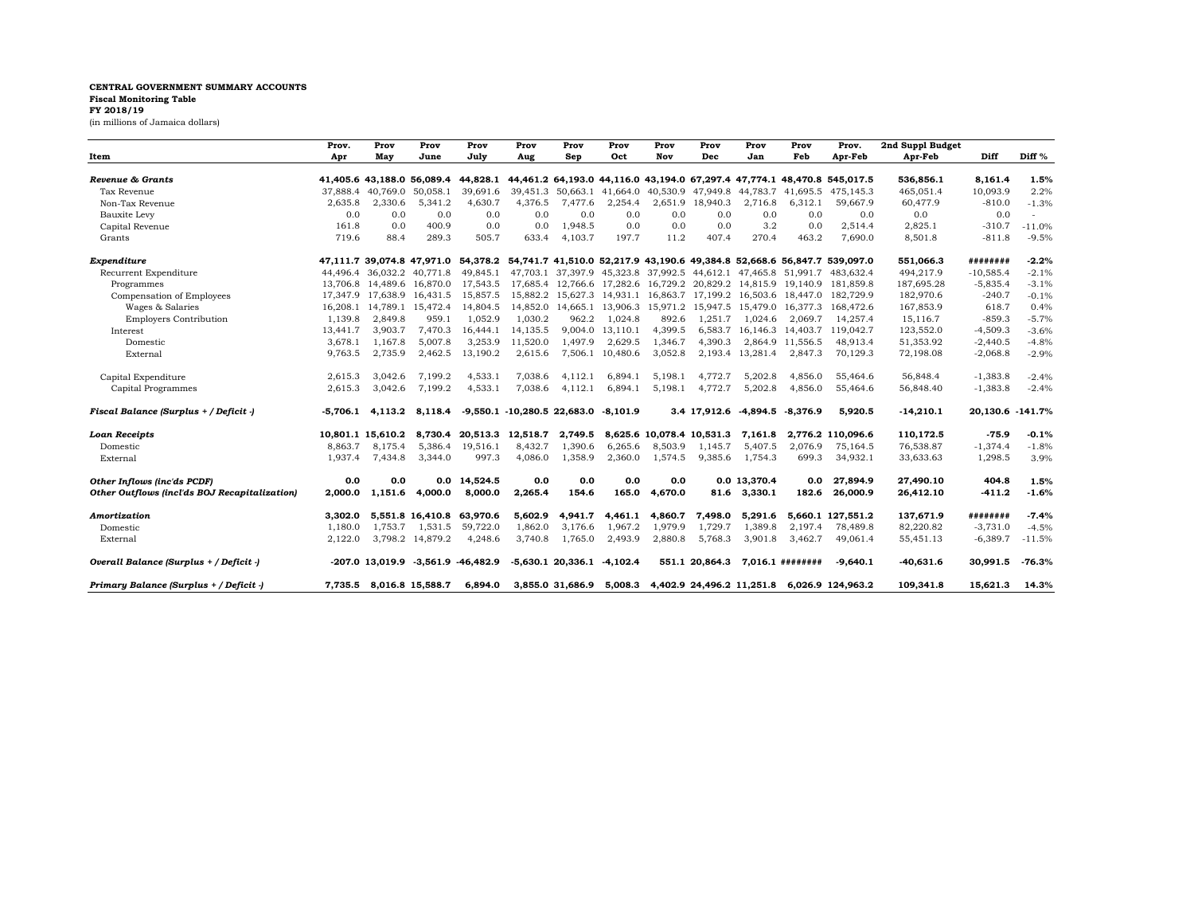## **CENTRAL GOVERNMENT SUMMARY ACCOUNTS Fiscal Monitoring Table FY 2018/19**

(in millions of Jamaica dollars)

|                                               | Prov.    | Prov                          | Prov                                     | Prov     | Prov                                       | Prov                           | Prov             | Prov    | Prov                                         | Prov             | Prov                      | Prov.                                                                                                        | 2nd Suppl Budget |                  |                   |
|-----------------------------------------------|----------|-------------------------------|------------------------------------------|----------|--------------------------------------------|--------------------------------|------------------|---------|----------------------------------------------|------------------|---------------------------|--------------------------------------------------------------------------------------------------------------|------------------|------------------|-------------------|
| Item                                          | Apr      | Mav                           | June                                     | July     | Aug                                        | Sep                            | Oct              | Nov     | Dec                                          | Jan              | Feb                       | Apr-Feb                                                                                                      | Apr-Feb          | Diff             | Diff <sup>%</sup> |
|                                               |          |                               |                                          |          |                                            |                                |                  |         |                                              |                  |                           |                                                                                                              |                  |                  |                   |
| Revenue & Grants                              |          |                               | 41,405.6 43,188.0 56,089.4               | 44.828.1 |                                            |                                |                  |         |                                              |                  |                           | 44,461.2 64,193.0 44,116.0 43,194.0 67,297.4 47,774.1 48,470.8 545,017.5                                     | 536,856.1        | 8,161.4          | 1.5%              |
| Tax Revenue                                   | 37,888.4 | 40.769.0                      | 50,058.1                                 | 39,691.6 | 39,451.3                                   |                                |                  |         | 50,663.1 41,664.0 40,530.9 47,949.8          |                  |                           | 44,783.7 41,695.5 475,145.3                                                                                  | 465,051.4        | 10,093.9         | 2.2%              |
| Non-Tax Revenue                               | 2,635.8  | 2,330.6                       | 5,341.2                                  | 4,630.7  | 4,376.5                                    | 7,477.6                        | 2,254.4          |         | 2,651.9 18,940.3                             | 2,716.8          | 6,312.1                   | 59,667.9                                                                                                     | 60,477.9         | $-810.0$         | $-1.3%$           |
| <b>Bauxite Levy</b>                           | 0.0      | 0.0                           | 0.0                                      | 0.0      | 0.0                                        | 0.0                            | 0.0              | 0.0     | 0.0                                          | 0.0              | 0.0                       | 0.0                                                                                                          | 0.0              | 0.0              |                   |
| Capital Revenue                               | 161.8    | 0.0                           | 400.9                                    | 0.0      | 0.0                                        | 1,948.5                        | 0.0              | 0.0     | 0.0                                          | 3.2              | 0.0                       | 2,514.4                                                                                                      | 2,825.1          | $-310.7$         | $-11.0%$          |
| Grants                                        | 719.6    | 88.4                          | 289.3                                    | 505.7    | 633.4                                      | 4,103.7                        | 197.7            | 11.2    | 407.4                                        | 270.4            | 463.2                     | 7,690.0                                                                                                      | 8,501.8          | $-811.8$         | $-9.5%$           |
| Expenditure                                   |          |                               |                                          |          |                                            |                                |                  |         |                                              |                  |                           | 47,111.7 39,074.8 47,971.0 54,378.2 54,741.7 41,510.0 52,217.9 43,190.6 49,384.8 52,668.6 56,847.7 539,097.0 | 551,066.3        | ########         | $-2.2%$           |
| Recurrent Expenditure                         |          | 44.496.4 36.032.2 40.771.8    |                                          | 49.845.1 |                                            |                                |                  |         |                                              |                  |                           | 47,703.1 37,397.9 45,323.8 37,992.5 44,612.1 47,465.8 51,991.7 483,632.4                                     | 494,217.9        | $-10,585.4$      | $-2.1%$           |
| Programmes                                    |          | 13.706.8 14.489.6 16.870.0    |                                          | 17.543.5 |                                            |                                |                  |         |                                              |                  |                           | 17,685.4 12,766.6 17,282.6 16,729.2 20,829.2 14,815.9 19,140.9 181,859.8                                     | 187,695.28       | $-5,835.4$       | $-3.1%$           |
| Compensation of Employees                     |          | 17,347.9 17,638.9 16,431.5    |                                          | 15,857.5 | 15,882.2                                   |                                |                  |         | 15,627.3 14,931.1 16,863.7 17,199.2          |                  | 16,503.6 18,447.0         | 182,729.9                                                                                                    | 182,970.6        | $-240.7$         | $-0.1%$           |
| Wages & Salaries                              |          | 16, 208.1 14, 789.1 15, 472.4 |                                          | 14,804.5 |                                            |                                |                  |         | 14,852.0 14,665.1 13,906.3 15,971.2 15,947.5 |                  | 15,479.0 16,377.3         | 168.472.6                                                                                                    | 167,853.9        | 618.7            | 0.4%              |
| <b>Employers Contribution</b>                 | 1.139.8  | 2.849.8                       | 959.1                                    | 1.052.9  | 1.030.2                                    | 962.2                          | 1.024.8          | 892.6   | 1.251.7                                      | 1.024.6          | 2.069.7                   | 14.257.4                                                                                                     | 15.116.7         | $-859.3$         | $-5.7%$           |
| Interest                                      | 13,441.7 | 3,903.7                       | 7,470.3                                  | 16,444.1 | 14,135.5                                   | 9,004.0                        | 13,110.1         | 4,399.5 |                                              |                  | 6,583.7 16,146.3 14,403.7 | 119,042.7                                                                                                    | 123,552.0        | $-4,509.3$       | $-3.6%$           |
| Domestic                                      | 3,678.1  | 1,167.8                       | 5,007.8                                  | 3,253.9  | 11,520.0                                   | 1,497.9                        | 2,629.5          | 1,346.7 | 4,390.3                                      |                  | 2,864.9 11,556.5          | 48,913.4                                                                                                     | 51,353.92        | $-2,440.5$       | $-4.8%$           |
| External                                      | 9,763.5  | 2,735.9                       | 2,462.5                                  | 13,190.2 | 2,615.6                                    |                                | 7,506.1 10,480.6 | 3,052.8 |                                              | 2,193.4 13,281.4 | 2,847.3                   | 70,129.3                                                                                                     | 72,198.08        | $-2,068.8$       | $-2.9%$           |
| Capital Expenditure                           | 2,615.3  | 3.042.6                       | 7,199.2                                  | 4,533.1  | 7.038.6                                    | 4,112.1                        | 6,894.1          | 5,198.1 | 4.772.7                                      | 5,202.8          | 4.856.0                   | 55,464.6                                                                                                     | 56,848.4         | $-1,383.8$       | $-2.4%$           |
| Capital Programmes                            | 2,615.3  | 3,042.6                       | 7,199.2                                  | 4,533.1  | 7,038.6                                    | 4,112.1                        | 6,894.1          | 5,198.1 | 4,772.7                                      | 5,202.8          | 4,856.0                   | 55,464.6                                                                                                     | 56,848.40        | $-1,383.8$       | $-2.4%$           |
| Fiscal Balance (Surplus + / Deficit -)        |          | $-5,706.1$ $4,113.2$          | 8,118.4                                  |          | $-9,550.1$ $-10,280.5$ 22,683.0 $-8,101.9$ |                                |                  |         | 3.4 17,912.6                                 |                  | $-4,894.5$ $-8,376.9$     | 5,920.5                                                                                                      | $-14,210.1$      | 20,130.6 -141.7% |                   |
| <b>Loan Receipts</b>                          |          | 10.801.1 15.610.2             | 8,730.4                                  | 20.513.3 | 12,518.7                                   | 2,749.5                        |                  |         | 8.625.6 10.078.4 10.531.3                    | 7.161.8          |                           | 2.776.2 110.096.6                                                                                            | 110,172.5        | $-75.9$          | $-0.1%$           |
| Domestic                                      | 8.863.7  | 8,175.4                       | 5,386.4                                  | 19,516.1 | 8,432.7                                    | 1,390.6                        | 6,265.6          | 8,503.9 | 1,145.7                                      | 5,407.5          | 2.076.9                   | 75,164.5                                                                                                     | 76,538.87        | $-1,374.4$       | $-1.8%$           |
| External                                      | 1.937.4  | 7.434.8                       | 3,344.0                                  | 997.3    | 4.086.0                                    | 1,358.9                        | 2,360.0          | 1,574.5 | 9,385.6                                      | 1.754.3          | 699.3                     | 34,932.1                                                                                                     | 33,633.63        | 1,298.5          | 3.9%              |
| Other Inflows (inc'ds PCDF)                   | 0.0      | 0.0                           | 0.0                                      | 14.524.5 | 0.0                                        | 0.0                            | 0.0              | 0.0     |                                              | 0.0 13.370.4     | 0.0                       | 27,894.9                                                                                                     | 27,490.10        | 404.8            | 1.5%              |
| Other Outflows (incl'ds BOJ Recapitalization) | 2,000.0  | 1,151.6                       | 4,000.0                                  | 8,000.0  | 2,265.4                                    | 154.6                          | 165.0            | 4,670.0 | 81.6                                         | 3,330.1          | 182.6                     | 26,000.9                                                                                                     | 26,412.10        | $-411.2$         | $-1.6%$           |
| Amortization                                  | 3.302.0  |                               | 5.551.8 16.410.8                         | 63.970.6 | 5.602.9                                    | 4,941.7                        | 4.461.1          | 4,860.7 | 7.498.0                                      | 5,291.6          |                           | 5.660.1 127.551.2                                                                                            | 137,671.9        | ########         | $-7.4%$           |
| Domestic                                      | 1.180.0  | 1.753.7                       | 1.531.5                                  | 59,722.0 | 1.862.0                                    | 3.176.6                        | 1,967.2          | 1,979.9 | 1.729.7                                      | 1,389.8          | 2.197.4                   | 78,489.8                                                                                                     | 82,220.82        | $-3,731.0$       | $-4.5%$           |
| External                                      | 2,122.0  |                               | 3,798.2 14,879.2                         | 4,248.6  | 3,740.8                                    | 1,765.0                        | 2,493.9          | 2,880.8 | 5,768.3                                      | 3,901.8          | 3,462.7                   | 49,061.4                                                                                                     | 55,451.13        | $-6,389.7$       | $-11.5%$          |
| Overall Balance (Surplus + / Deficit -)       |          |                               | $-207.0$ 13.019.9 $-3.561.9$ $-46.482.9$ |          |                                            | $-5,630.1$ 20,336.1 $-4,102.4$ |                  |         | 551.1 20.864.3                               |                  | $7.016.1$ ########        | $-9.640.1$                                                                                                   | $-40,631.6$      | 30.991.5         | $-76.3%$          |
| Primary Balance (Surplus + / Deficit -)       | 7.735.5  |                               | 8.016.8 15.588.7                         | 6.894.0  |                                            | 3,855.0 31,686.9               | 5,008.3          |         | 4.402.9 24.496.2 11.251.8                    |                  |                           | 6.026.9 124.963.2                                                                                            | 109.341.8        | 15.621.3         | 14.3%             |